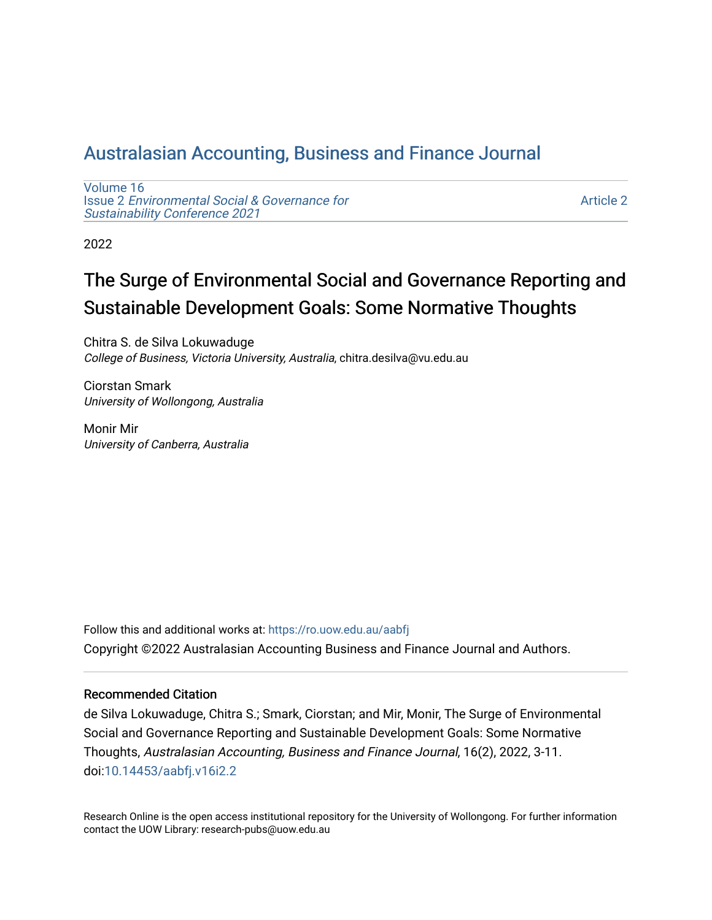### [Australasian Accounting, Business and Finance Journal](https://ro.uow.edu.au/aabfj)

[Volume 16](https://ro.uow.edu.au/aabfj/vol16) Issue 2 [Environmental Social & Governance for](https://ro.uow.edu.au/aabfj/vol16/iss2)  [Sustainability Conference 2021](https://ro.uow.edu.au/aabfj/vol16/iss2) 

[Article 2](https://ro.uow.edu.au/aabfj/vol16/iss2/2) 

2022

# The Surge of Environmental Social and Governance Reporting and Sustainable Development Goals: Some Normative Thoughts

Chitra S. de Silva Lokuwaduge College of Business, Victoria University, Australia, chitra.desilva@vu.edu.au

Ciorstan Smark University of Wollongong, Australia

Monir Mir University of Canberra, Australia

Follow this and additional works at: [https://ro.uow.edu.au/aabfj](https://ro.uow.edu.au/aabfj?utm_source=ro.uow.edu.au%2Faabfj%2Fvol16%2Fiss2%2F2&utm_medium=PDF&utm_campaign=PDFCoverPages) Copyright ©2022 Australasian Accounting Business and Finance Journal and Authors.

#### Recommended Citation

de Silva Lokuwaduge, Chitra S.; Smark, Ciorstan; and Mir, Monir, The Surge of Environmental Social and Governance Reporting and Sustainable Development Goals: Some Normative Thoughts, Australasian Accounting, Business and Finance Journal, 16(2), 2022, 3-11. doi:[10.14453/aabfj.v16i2.2](http://dx.doi.org/10.14453/aabfj.v16i2.2) 

Research Online is the open access institutional repository for the University of Wollongong. For further information contact the UOW Library: research-pubs@uow.edu.au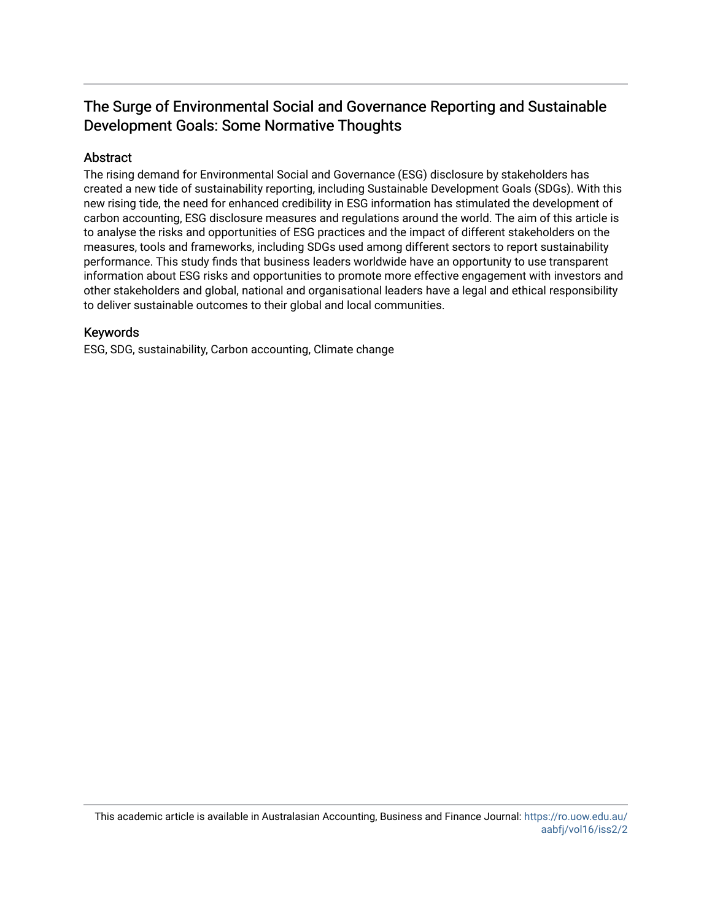### The Surge of Environmental Social and Governance Reporting and Sustainable Development Goals: Some Normative Thoughts

#### Abstract

The rising demand for Environmental Social and Governance (ESG) disclosure by stakeholders has created a new tide of sustainability reporting, including Sustainable Development Goals (SDGs). With this new rising tide, the need for enhanced credibility in ESG information has stimulated the development of carbon accounting, ESG disclosure measures and regulations around the world. The aim of this article is to analyse the risks and opportunities of ESG practices and the impact of different stakeholders on the measures, tools and frameworks, including SDGs used among different sectors to report sustainability performance. This study finds that business leaders worldwide have an opportunity to use transparent information about ESG risks and opportunities to promote more effective engagement with investors and other stakeholders and global, national and organisational leaders have a legal and ethical responsibility to deliver sustainable outcomes to their global and local communities.

#### Keywords

ESG, SDG, sustainability, Carbon accounting, Climate change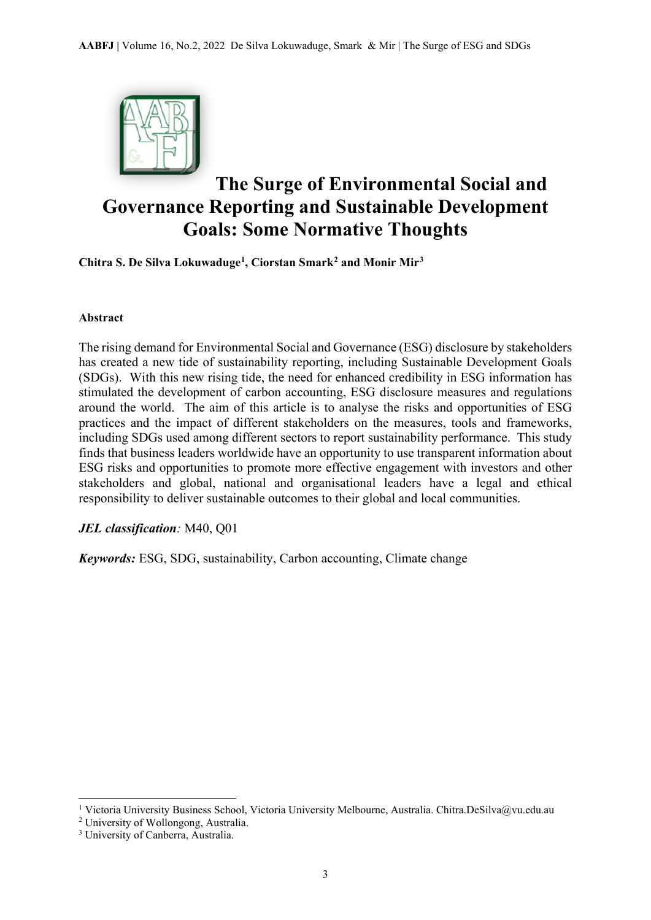

## **The Surge of Environmental Social and Governance Reporting and Sustainable Development Goals: Some Normative Thoughts**

**Chitra S. De Silva Lokuwaduge[1](#page-2-0) , Ciorstan Smark[2](#page-2-1) and Monir Mir[3](#page-2-2)**

#### **Abstract**

The rising demand for Environmental Social and Governance (ESG) disclosure by stakeholders has created a new tide of sustainability reporting, including Sustainable Development Goals (SDGs). With this new rising tide, the need for enhanced credibility in ESG information has stimulated the development of carbon accounting, ESG disclosure measures and regulations around the world. The aim of this article is to analyse the risks and opportunities of ESG practices and the impact of different stakeholders on the measures, tools and frameworks, including SDGs used among different sectors to report sustainability performance. This study finds that business leaders worldwide have an opportunity to use transparent information about ESG risks and opportunities to promote more effective engagement with investors and other stakeholders and global, national and organisational leaders have a legal and ethical responsibility to deliver sustainable outcomes to their global and local communities.

#### *JEL classification:* M40, Q01

*Keywords:* ESG, SDG, sustainability, Carbon accounting, Climate change

1

<span id="page-2-0"></span><sup>1</sup> Victoria University Business School, Victoria University Melbourne, Australia. Chitra.DeSilva@vu.edu.au

<span id="page-2-1"></span><sup>2</sup> University of Wollongong, Australia.

<span id="page-2-2"></span><sup>&</sup>lt;sup>3</sup> University of Canberra, Australia.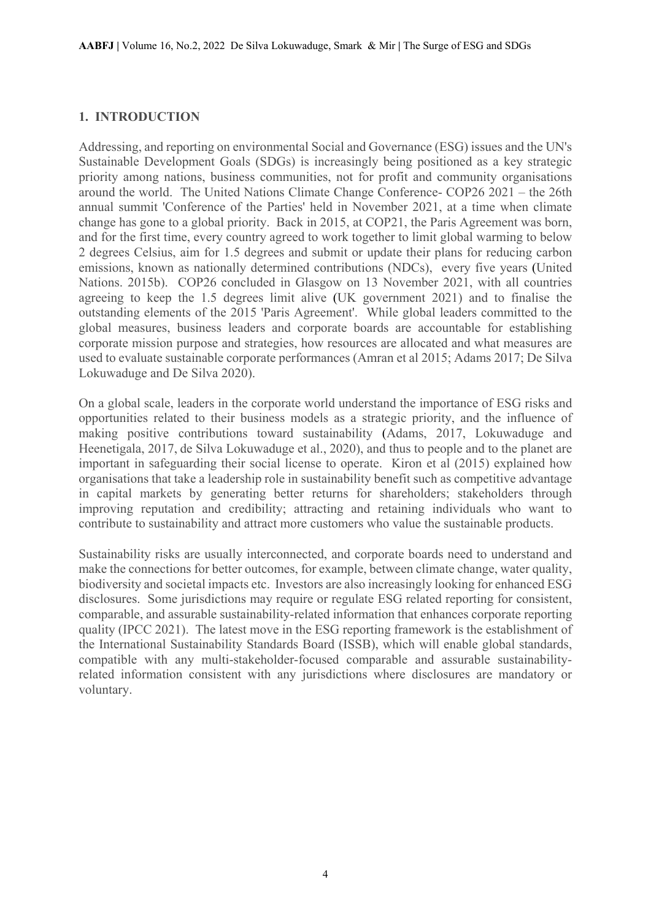#### **1. INTRODUCTION**

Addressing, and reporting on environmental Social and Governance (ESG) issues and the UN's Sustainable Development Goals (SDGs) is increasingly being positioned as a key strategic priority among nations, business communities, not for profit and community organisations around the world. The United Nations Climate Change Conference- COP26 2021 – the 26th annual summit 'Conference of the Parties' held in November 2021, at a time when climate change has gone to a global priority. Back in 2015, at COP21, the Paris Agreement was born, and for the first time, every country agreed to work together to limit global warming to below 2 degrees Celsius, aim for 1.5 degrees and submit or update their plans for reducing carbon emissions, known as nationally determined contributions (NDCs), every five years (United Nations. 2015b). COP26 concluded in Glasgow on 13 November 2021, with all countries agreeing to keep the 1.5 degrees limit alive (UK government 2021) and to finalise the outstanding elements of the 2015 'Paris Agreement'. While global leaders committed to the global measures, business leaders and corporate boards are accountable for establishing corporate mission purpose and strategies, how resources are allocated and what measures are used to evaluate sustainable corporate performances (Amran et al 2015; Adams 2017; De Silva Lokuwaduge and De Silva 2020).

On a global scale, leaders in the corporate world understand the importance of ESG risks and opportunities related to their business models as a strategic priority, and the influence of making positive contributions toward sustainability (Adams, 2017, Lokuwaduge and Heenetigala, 2017, de Silva Lokuwaduge et al., 2020), and thus to people and to the planet are important in safeguarding their social license to operate. Kiron et al (2015) explained how organisations that take a leadership role in sustainability benefit such as competitive advantage in capital markets by generating better returns for shareholders; stakeholders through improving reputation and credibility; attracting and retaining individuals who want to contribute to sustainability and attract more customers who value the sustainable products.

Sustainability risks are usually interconnected, and corporate boards need to understand and make the connections for better outcomes, for example, between climate change, water quality, biodiversity and societal impacts etc. Investors are also increasingly looking for enhanced ESG disclosures. Some jurisdictions may require or regulate ESG related reporting for consistent, comparable, and assurable sustainability-related information that enhances corporate reporting quality (IPCC 2021). The latest move in the ESG reporting framework is the establishment of the International Sustainability Standards Board (ISSB), which will enable global standards, compatible with any multi-stakeholder-focused comparable and assurable sustainabilityrelated information consistent with any jurisdictions where disclosures are mandatory or voluntary.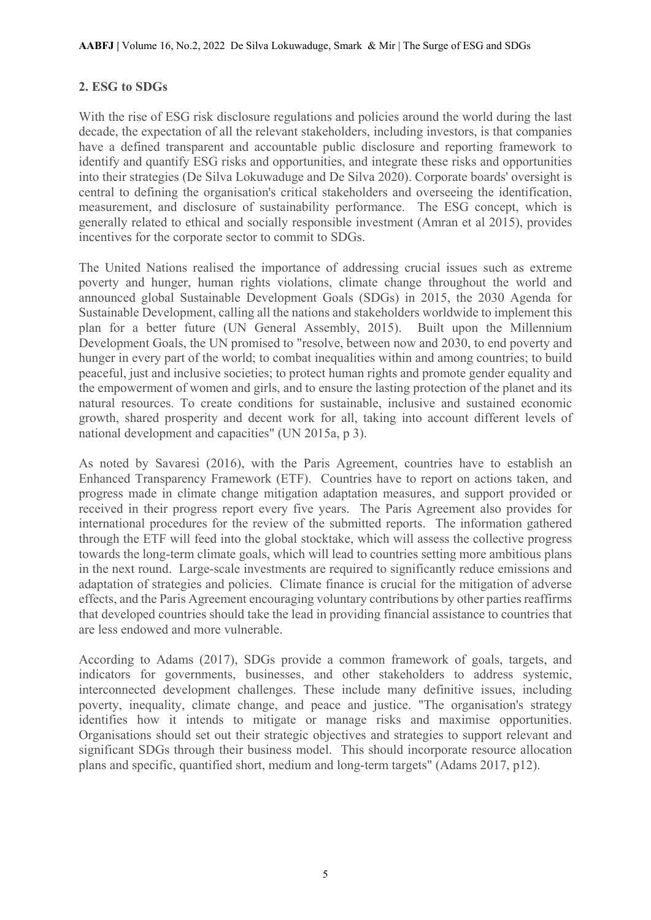#### **2. ESG to SDGs**

With the rise of ESG risk disclosure regulations and policies around the world during the last decade, the expectation of all the relevant stakeholders, including investors, is that companies have a defined transparent and accountable public disclosure and reporting framework to identify and quantify ESG risks and opportunities, and integrate these risks and opportunities into their strategies (De Silva Lokuwaduge and De Silva 2020). Corporate boards' oversight is central to defining the organisation's critical stakeholders and overseeing the identification, measurement, and disclosure of sustainability performance. The ESG concept, which is generally related to ethical and socially responsible investment (Amran et al 2015), provides incentives for the corporate sector to commit to SDGs.

The United Nations realised the importance of addressing crucial issues such as extreme poverty and hunger, human rights violations, climate change throughout the world and announced global Sustainable Development Goals (SDGs) in 2015, the 2030 Agenda for Sustainable Development, calling all the nations and stakeholders worldwide to implement this plan for a better future (UN General Assembly, 2015). Built upon the Millennium Development Goals, the UN promised to "resolve, between now and 2030, to end poverty and hunger in every part of the world; to combat inequalities within and among countries; to build peaceful, just and inclusive societies; to protect human rights and promote gender equality and the empowerment of women and girls, and to ensure the lasting protection of the planet and its natural resources. To create conditions for sustainable, inclusive and sustained economic growth, shared prosperity and decent work for all, taking into account different levels of national development and capacities" (UN 2015a, p 3).

As noted by Savaresi (2016), with the Paris Agreement, countries have to establish an Enhanced Transparency Framework (ETF). Countries have to report on actions taken, and progress made in climate change mitigation adaptation measures, and support provided or received in their progress report every five years. The Paris Agreement also provides for international procedures for the review of the submitted reports. The information gathered through the ETF will feed into the global stocktake, which will assess the collective progress towards the long-term climate goals, which will lead to countries setting more ambitious plans in the next round. Large-scale investments are required to significantly reduce emissions and adaptation of strategies and policies. Climate finance is crucial for the mitigation of adverse effects, and the Paris Agreement encouraging voluntary contributions by other parties reaffirms that developed countries should take the lead in providing financial assistance to countries that are less endowed and more vulnerable.

According to Adams (2017), SDGs provide a common framework of goals, targets, and indicators for governments, businesses, and other stakeholders to address systemic, interconnected development challenges. These include many definitive issues, including poverty, inequality, climate change, and peace and justice. "The organisation's strategy identifies how it intends to mitigate or manage risks and maximise opportunities. Organisations should set out their strategic objectives and strategies to support relevant and significant SDGs through their business model. This should incorporate resource allocation plans and specific, quantified short, medium and long-term targets" (Adams 2017, p12).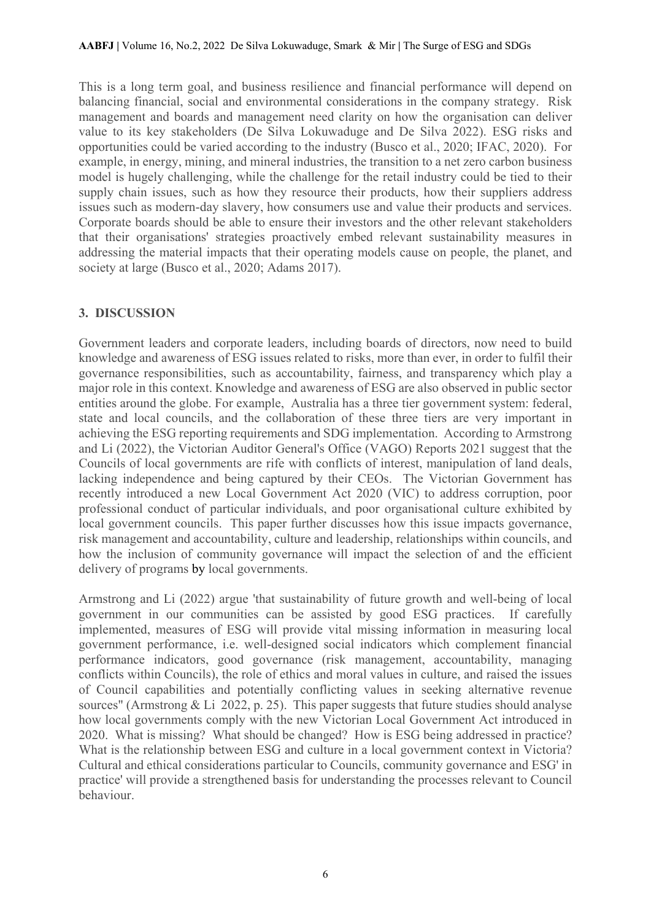This is a long term goal, and business resilience and financial performance will depend on balancing financial, social and environmental considerations in the company strategy. Risk management and boards and management need clarity on how the organisation can deliver value to its key stakeholders (De Silva Lokuwaduge and De Silva 2022). ESG risks and opportunities could be varied according to the industry (Busco et al., 2020; IFAC, 2020). For example, in energy, mining, and mineral industries, the transition to a net zero carbon business model is hugely challenging, while the challenge for the retail industry could be tied to their supply chain issues, such as how they resource their products, how their suppliers address issues such as modern-day slavery, how consumers use and value their products and services. Corporate boards should be able to ensure their investors and the other relevant stakeholders that their organisations' strategies proactively embed relevant sustainability measures in addressing the material impacts that their operating models cause on people, the planet, and society at large (Busco et al., 2020; Adams 2017).

#### **3. DISCUSSION**

Government leaders and corporate leaders, including boards of directors, now need to build knowledge and awareness of ESG issues related to risks, more than ever, in order to fulfil their governance responsibilities, such as accountability, fairness, and transparency which play a major role in this context. Knowledge and awareness of ESG are also observed in public sector entities around the globe. For example, Australia has a three tier government system: federal, state and local councils, and the collaboration of these three tiers are very important in achieving the ESG reporting requirements and SDG implementation. According to Armstrong and Li (2022), the Victorian Auditor General's Office (VAGO) Reports 2021 suggest that the Councils of local governments are rife with conflicts of interest, manipulation of land deals, lacking independence and being captured by their CEOs. The Victorian Government has recently introduced a new Local Government Act 2020 (VIC) to address corruption, poor professional conduct of particular individuals, and poor organisational culture exhibited by local government councils. This paper further discusses how this issue impacts governance, risk management and accountability, culture and leadership, relationships within councils, and how the inclusion of community governance will impact the selection of and the efficient delivery of programs by local governments.

Armstrong and Li (2022) argue 'that sustainability of future growth and well-being of local government in our communities can be assisted by good ESG practices. If carefully implemented, measures of ESG will provide vital missing information in measuring local government performance, i.e. well-designed social indicators which complement financial performance indicators, good governance (risk management, accountability, managing conflicts within Councils), the role of ethics and moral values in culture, and raised the issues of Council capabilities and potentially conflicting values in seeking alternative revenue sources" (Armstrong  $&$  Li 2022, p. 25). This paper suggests that future studies should analyse how local governments comply with the new Victorian Local Government Act introduced in 2020. What is missing? What should be changed? How is ESG being addressed in practice? What is the relationship between ESG and culture in a local government context in Victoria? Cultural and ethical considerations particular to Councils, community governance and ESG' in practice' will provide a strengthened basis for understanding the processes relevant to Council behaviour.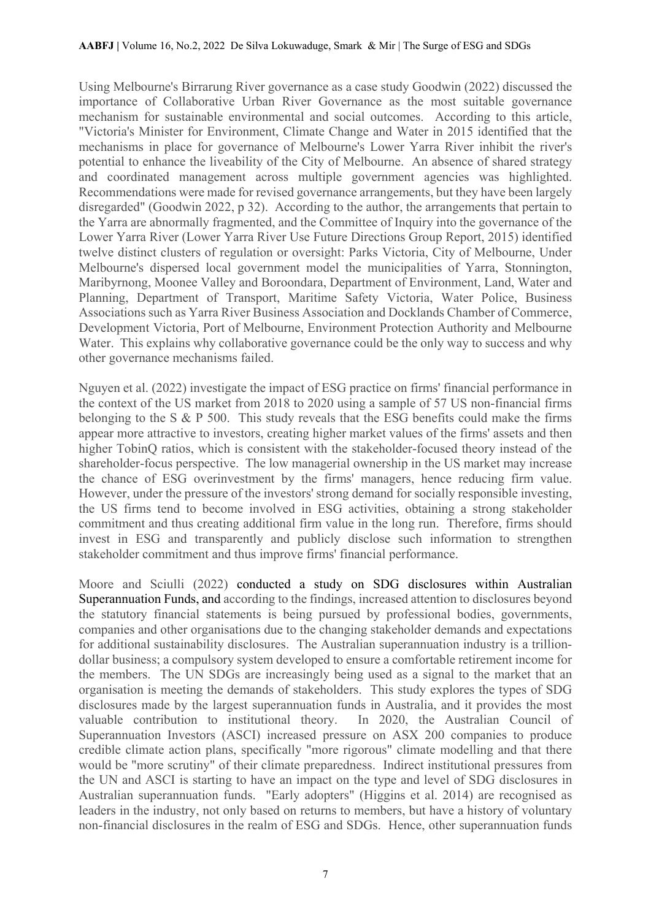Using Melbourne's Birrarung River governance as a case study Goodwin (2022) discussed the importance of Collaborative Urban River Governance as the most suitable governance mechanism for sustainable environmental and social outcomes. According to this article, "Victoria's Minister for Environment, Climate Change and Water in 2015 identified that the mechanisms in place for governance of Melbourne's Lower Yarra River inhibit the river's potential to enhance the liveability of the City of Melbourne. An absence of shared strategy and coordinated management across multiple government agencies was highlighted. Recommendations were made for revised governance arrangements, but they have been largely disregarded" (Goodwin 2022, p 32). According to the author, the arrangements that pertain to the Yarra are abnormally fragmented, and the Committee of Inquiry into the governance of the Lower Yarra River (Lower Yarra River Use Future Directions Group Report, 2015) identified twelve distinct clusters of regulation or oversight: Parks Victoria, City of Melbourne, Under Melbourne's dispersed local government model the municipalities of Yarra, Stonnington, Maribyrnong, Moonee Valley and Boroondara, Department of Environment, Land, Water and Planning, Department of Transport, Maritime Safety Victoria, Water Police, Business Associations such as Yarra River Business Association and Docklands Chamber of Commerce, Development Victoria, Port of Melbourne, Environment Protection Authority and Melbourne Water. This explains why collaborative governance could be the only way to success and why other governance mechanisms failed.

Nguyen et al. (2022) investigate the impact of ESG practice on firms' financial performance in the context of the US market from 2018 to 2020 using a sample of 57 US non-financial firms belonging to the S & P 500. This study reveals that the ESG benefits could make the firms appear more attractive to investors, creating higher market values of the firms' assets and then higher TobinQ ratios, which is consistent with the stakeholder-focused theory instead of the shareholder-focus perspective. The low managerial ownership in the US market may increase the chance of ESG overinvestment by the firms' managers, hence reducing firm value. However, under the pressure of the investors' strong demand for socially responsible investing, the US firms tend to become involved in ESG activities, obtaining a strong stakeholder commitment and thus creating additional firm value in the long run. Therefore, firms should invest in ESG and transparently and publicly disclose such information to strengthen stakeholder commitment and thus improve firms' financial performance.

Moore and Sciulli (2022) conducted a study on SDG disclosures within Australian Superannuation Funds, and according to the findings, increased attention to disclosures beyond the statutory financial statements is being pursued by professional bodies, governments, companies and other organisations due to the changing stakeholder demands and expectations for additional sustainability disclosures. The Australian superannuation industry is a trilliondollar business; a compulsory system developed to ensure a comfortable retirement income for the members. The UN SDGs are increasingly being used as a signal to the market that an organisation is meeting the demands of stakeholders. This study explores the types of SDG disclosures made by the largest superannuation funds in Australia, and it provides the most valuable contribution to institutional theory. In 2020, the Australian Council of Superannuation Investors (ASCI) increased pressure on ASX 200 companies to produce credible climate action plans, specifically "more rigorous" climate modelling and that there would be "more scrutiny" of their climate preparedness. Indirect institutional pressures from the UN and ASCI is starting to have an impact on the type and level of SDG disclosures in Australian superannuation funds. "Early adopters" (Higgins et al. 2014) are recognised as leaders in the industry, not only based on returns to members, but have a history of voluntary non-financial disclosures in the realm of ESG and SDGs. Hence, other superannuation funds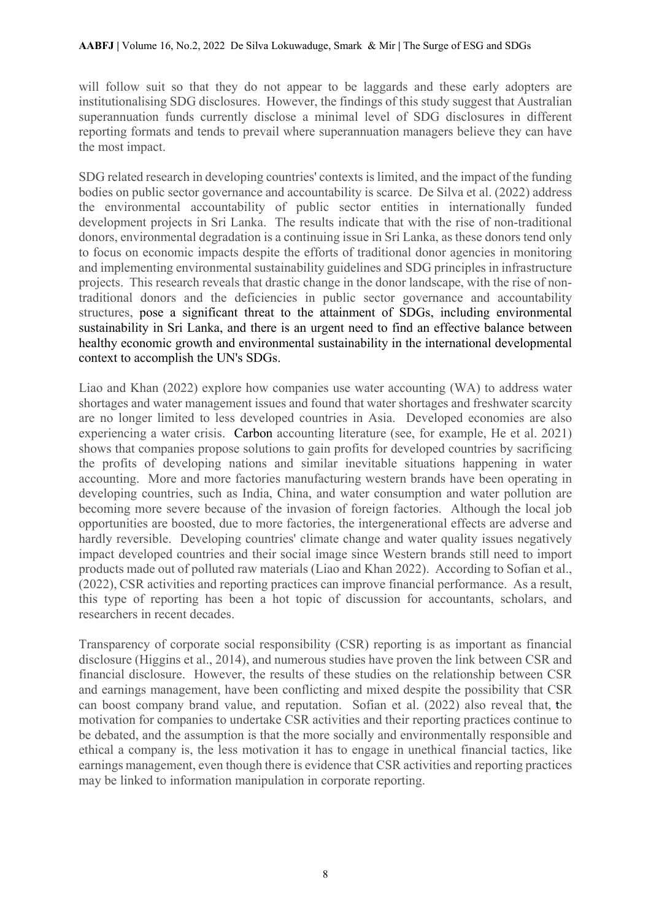will follow suit so that they do not appear to be laggards and these early adopters are institutionalising SDG disclosures. However, the findings of this study suggest that Australian superannuation funds currently disclose a minimal level of SDG disclosures in different reporting formats and tends to prevail where superannuation managers believe they can have the most impact.

SDG related research in developing countries' contexts is limited, and the impact of the funding bodies on public sector governance and accountability is scarce. De Silva et al. (2022) address the environmental accountability of public sector entities in internationally funded development projects in Sri Lanka. The results indicate that with the rise of non-traditional donors, environmental degradation is a continuing issue in Sri Lanka, as these donors tend only to focus on economic impacts despite the efforts of traditional donor agencies in monitoring and implementing environmental sustainability guidelines and SDG principles in infrastructure projects. This research reveals that drastic change in the donor landscape, with the rise of nontraditional donors and the deficiencies in public sector governance and accountability structures, pose a significant threat to the attainment of SDGs, including environmental sustainability in Sri Lanka, and there is an urgent need to find an effective balance between healthy economic growth and environmental sustainability in the international developmental context to accomplish the UN's SDGs.

Liao and Khan (2022) explore how companies use water accounting (WA) to address water shortages and water management issues and found that water shortages and freshwater scarcity are no longer limited to less developed countries in Asia. Developed economies are also experiencing a water crisis. Carbon accounting literature (see, for example, He et al. 2021) shows that companies propose solutions to gain profits for developed countries by sacrificing the profits of developing nations and similar inevitable situations happening in water accounting. More and more factories manufacturing western brands have been operating in developing countries, such as India, China, and water consumption and water pollution are becoming more severe because of the invasion of foreign factories. Although the local job opportunities are boosted, due to more factories, the intergenerational effects are adverse and hardly reversible. Developing countries' climate change and water quality issues negatively impact developed countries and their social image since Western brands still need to import products made out of polluted raw materials (Liao and Khan 2022). According to Sofian et al., (2022), CSR activities and reporting practices can improve financial performance. As a result, this type of reporting has been a hot topic of discussion for accountants, scholars, and researchers in recent decades.

Transparency of corporate social responsibility (CSR) reporting is as important as financial disclosure (Higgins et al., 2014), and numerous studies have proven the link between CSR and financial disclosure. However, the results of these studies on the relationship between CSR and earnings management, have been conflicting and mixed despite the possibility that CSR can boost company brand value, and reputation. Sofian et al. (2022) also reveal that, the motivation for companies to undertake CSR activities and their reporting practices continue to be debated, and the assumption is that the more socially and environmentally responsible and ethical a company is, the less motivation it has to engage in unethical financial tactics, like earnings management, even though there is evidence that CSR activities and reporting practices may be linked to information manipulation in corporate reporting.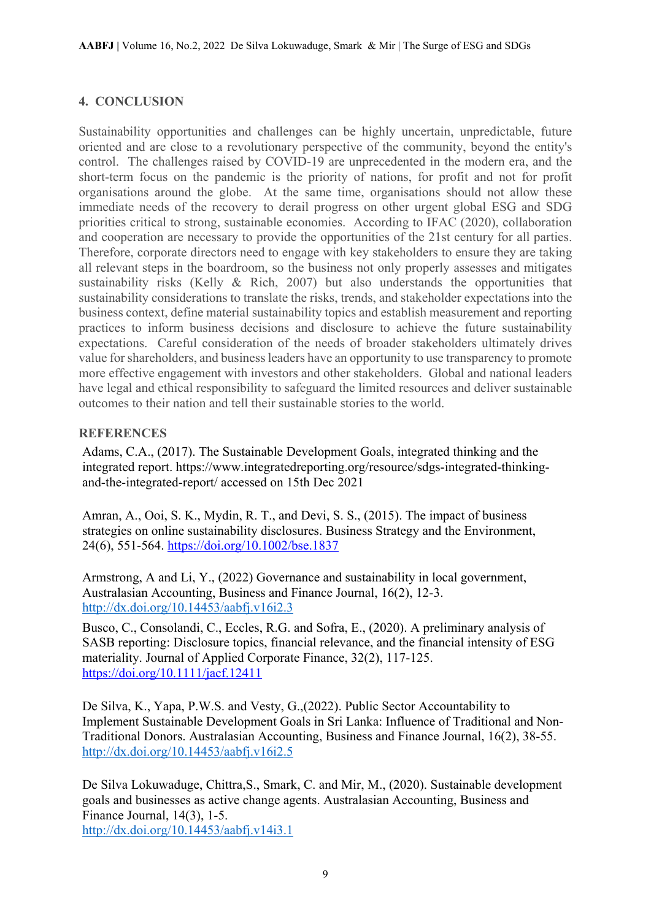#### **4. CONCLUSION**

Sustainability opportunities and challenges can be highly uncertain, unpredictable, future oriented and are close to a revolutionary perspective of the community, beyond the entity's control. The challenges raised by COVID-19 are unprecedented in the modern era, and the short-term focus on the pandemic is the priority of nations, for profit and not for profit organisations around the globe. At the same time, organisations should not allow these immediate needs of the recovery to derail progress on other urgent global ESG and SDG priorities critical to strong, sustainable economies. According to IFAC (2020), collaboration and cooperation are necessary to provide the opportunities of the 21st century for all parties. Therefore, corporate directors need to engage with key stakeholders to ensure they are taking all relevant steps in the boardroom, so the business not only properly assesses and mitigates sustainability risks (Kelly & Rich, 2007) but also understands the opportunities that sustainability considerations to translate the risks, trends, and stakeholder expectations into the business context, define material sustainability topics and establish measurement and reporting practices to inform business decisions and disclosure to achieve the future sustainability expectations. Careful consideration of the needs of broader stakeholders ultimately drives value for shareholders, and business leaders have an opportunity to use transparency to promote more effective engagement with investors and other stakeholders. Global and national leaders have legal and ethical responsibility to safeguard the limited resources and deliver sustainable outcomes to their nation and tell their sustainable stories to the world.

#### **REFERENCES**

Adams, C.A., (2017). The Sustainable Development Goals, integrated thinking and the integrated report. https://www.integratedreporting.org/resource/sdgs-integrated-thinkingand-the-integrated-report/ accessed on 15th Dec 2021

Amran, A., Ooi, S. K., Mydin, R. T., and Devi, S. S., (2015). The impact of business strategies on online sustainability disclosures. Business Strategy and the Environment, 24(6), 551-564. <https://doi.org/10.1002/bse.1837>

Armstrong, A and Li, Y., (2022) Governance and sustainability in local government, Australasian Accounting, Business and Finance Journal, 16(2), 12-3. <http://dx.doi.org/10.14453/aabfj.v16i2.3>

Busco, C., Consolandi, C., Eccles, R.G. and Sofra, E., (2020). A preliminary analysis of SASB reporting: Disclosure topics, financial relevance, and the financial intensity of ESG materiality. Journal of Applied Corporate Finance, 32(2), 117-125. <https://doi.org/10.1111/jacf.12411>

De Silva, K., Yapa, P.W.S. and Vesty, G.,(2022). Public Sector Accountability to Implement Sustainable Development Goals in Sri Lanka: Influence of Traditional and Non-Traditional Donors. Australasian Accounting, Business and Finance Journal, 16(2), 38-55. <http://dx.doi.org/10.14453/aabfj.v16i2.5>

De Silva Lokuwaduge, Chittra,S., Smark, C. and Mir, M., (2020). Sustainable development goals and businesses as active change agents. Australasian Accounting, Business and Finance Journal, 14(3), 1-5. <http://dx.doi.org/10.14453/aabfj.v14i3.1>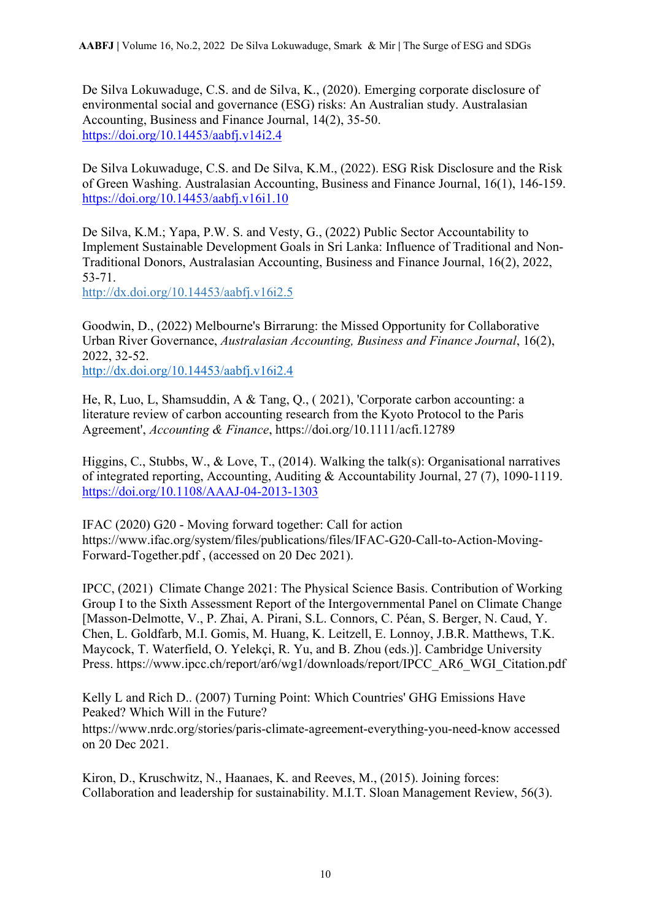De Silva Lokuwaduge, C.S. and de Silva, K., (2020). Emerging corporate disclosure of environmental social and governance (ESG) risks: An Australian study. Australasian Accounting, Business and Finance Journal, 14(2), 35-50. <https://doi.org/10.14453/aabfj.v14i2.4>

De Silva Lokuwaduge, C.S. and De Silva, K.M., (2022). ESG Risk Disclosure and the Risk of Green Washing. Australasian Accounting, Business and Finance Journal, 16(1), 146-159. <https://doi.org/10.14453/aabfj.v16i1.10>

De Silva, K.M.; Yapa, P.W. S. and Vesty, G., (2022) Public Sector Accountability to Implement Sustainable Development Goals in Sri Lanka: Influence of Traditional and Non-Traditional Donors, Australasian Accounting, Business and Finance Journal, 16(2), 2022, 53-71.

<http://dx.doi.org/10.14453/aabfj.v16i2.5>

Goodwin, D., (2022) Melbourne's Birrarung: the Missed Opportunity for Collaborative Urban River Governance, *Australasian Accounting, Business and Finance Journal*, 16(2), 2022, 32-52.

<http://dx.doi.org/10.14453/aabfj.v16i2.4>

He, R, Luo, L, Shamsuddin, A & Tang, Q., ( 2021), 'Corporate carbon accounting: a literature review of carbon accounting research from the Kyoto Protocol to the Paris Agreement', *Accounting & Finance*, https://doi.org/10.1111/acfi.12789

Higgins, C., Stubbs, W., & Love, T., (2014). Walking the talk(s): Organisational narratives of integrated reporting, Accounting, Auditing & Accountability Journal, 27 (7), 1090-1119. <https://doi.org/10.1108/AAAJ-04-2013-1303>

IFAC (2020) G20 - Moving forward together: Call for action https://www.ifac.org/system/files/publications/files/IFAC-G20-Call-to-Action-Moving-Forward-Together.pdf , (accessed on 20 Dec 2021).

IPCC, (2021) Climate Change 2021: The Physical Science Basis. Contribution of Working Group I to the Sixth Assessment Report of the Intergovernmental Panel on Climate Change [Masson-Delmotte, V., P. Zhai, A. Pirani, S.L. Connors, C. Péan, S. Berger, N. Caud, Y. Chen, L. Goldfarb, M.I. Gomis, M. Huang, K. Leitzell, E. Lonnoy, J.B.R. Matthews, T.K. Maycock, T. Waterfield, O. Yelekçi, R. Yu, and B. Zhou (eds.)]. Cambridge University Press. https://www.ipcc.ch/report/ar6/wg1/downloads/report/IPCC\_AR6\_WGI\_Citation.pdf

Kelly L and Rich D.. (2007) Turning Point: Which Countries' GHG Emissions Have Peaked? Which Will in the Future? https://www.nrdc.org/stories/paris-climate-agreement-everything-you-need-know accessed on 20 Dec 2021.

Kiron, D., Kruschwitz, N., Haanaes, K. and Reeves, M., (2015). Joining forces: Collaboration and leadership for sustainability. M.I.T. Sloan Management Review, 56(3).